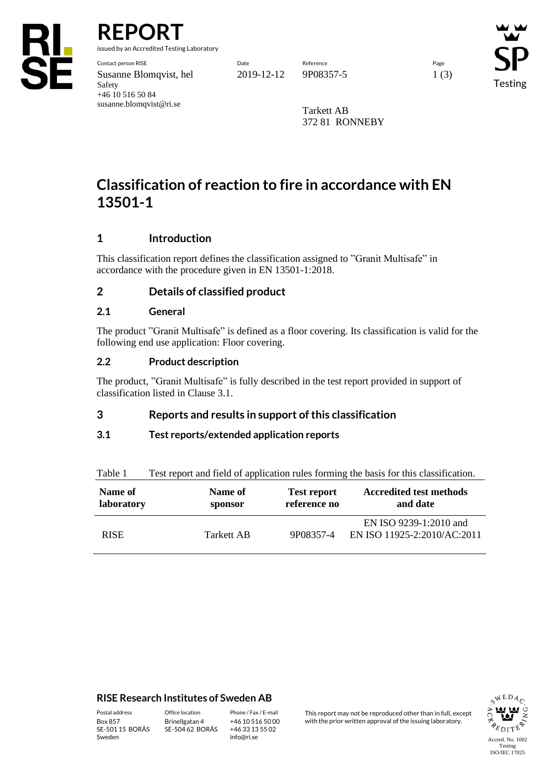

**REPORT**

Safety

+46 10 516 50 84 susanne.blomqvist@ri.se

issued by an Accredited Testing Laboratory

Testing

Tarkett AB 372 81 RONNEBY

# **Classification of reaction to fire in accordance with EN 13501-1**

# **1 Introduction**

This classification report defines the classification assigned to "Granit Multisafe" in accordance with the procedure given in EN 13501-1:2018.

# **2 Details of classified product**

## **2.1 General**

The product "Granit Multisafe" is defined as a floor covering. Its classification is valid for the following end use application: Floor covering.

## **2.2 Product description**

The product, "Granit Multisafe" is fully described in the test report provided in support of classification listed in Clause 3.1.

## **3 Reports and results in support of this classification**

#### **3.1 Test reports/extended application reports**

| <b>TAULT</b>          | Test report and field of application rules forming the basis for this classification. |                                    |                                                       |  |  |  |  |
|-----------------------|---------------------------------------------------------------------------------------|------------------------------------|-------------------------------------------------------|--|--|--|--|
| Name of<br>laboratory | Name of<br>sponsor                                                                    | <b>Test report</b><br>reference no | <b>Accredited test methods</b><br>and date            |  |  |  |  |
| <b>RISE</b>           | Tarkett AB                                                                            | 9P08357-4                          | EN ISO 9239-1:2010 and<br>EN ISO 11925-2:2010/AC:2011 |  |  |  |  |

# Table 1 Test report and field of application rules forming the basis for this classification.

#### **RISE Research Institutes of Sweden AB**

SE-501 15 BORÅS Sweden

Brinellgatan 4 SE-504 62 BORÅS

+46 10 516 50 00 +46 33 13 55 02 info@ri.se

Postal address Office location Phone / Fax / E-mail This report may not be reproduced other than in full, except<br>
Phone / Fax / E-mail This report may not be reproduced other issuing laboratory. with the prior written approval of the issuing laboratory.

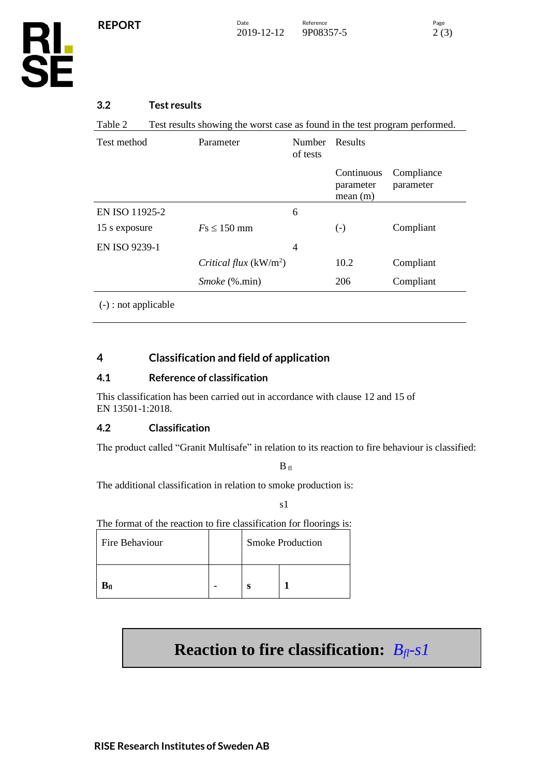**RL<br>SE** 

## **3.2 Test results**

Table 2 Test results showing the worst case as found in the test program performed.

| Test method    | Parameter               | Number<br>of tests | Results                            |                         |
|----------------|-------------------------|--------------------|------------------------------------|-------------------------|
|                |                         |                    | Continuous<br>parameter<br>mean(m) | Compliance<br>parameter |
| EN ISO 11925-2 |                         | 6                  |                                    |                         |
| 15 s exposure  | $Fs \leq 150$ mm        |                    | $\left( -\right)$                  | Compliant               |
| EN ISO 9239-1  |                         | 4                  |                                    |                         |
|                | Critical flux $(kW/m2)$ |                    | 10.2                               | Compliant               |
|                | <i>Smoke</i> (%.min)    |                    | 206                                | Compliant               |
| (              |                         |                    |                                    |                         |

(-) : not applicable

## **4 Classification and field of application**

#### **4.1 Reference of classification**

This classification has been carried out in accordance with clause 12 and 15 of EN 13501-1:2018.

#### **4.2 Classification**

The product called "Granit Multisafe" in relation to its reaction to fire behaviour is classified:

 $\mathbf{B}_{\text{ fl}}$ 

The additional classification in relation to smoke production is:

s1

The format of the reaction to fire classification for floorings is:

| Fire Behaviour |  | <b>Smoke Production</b> |  |  |
|----------------|--|-------------------------|--|--|
| $B_{fl}$       |  |                         |  |  |

# **Reaction to fire classification:** *Bfl-s1*